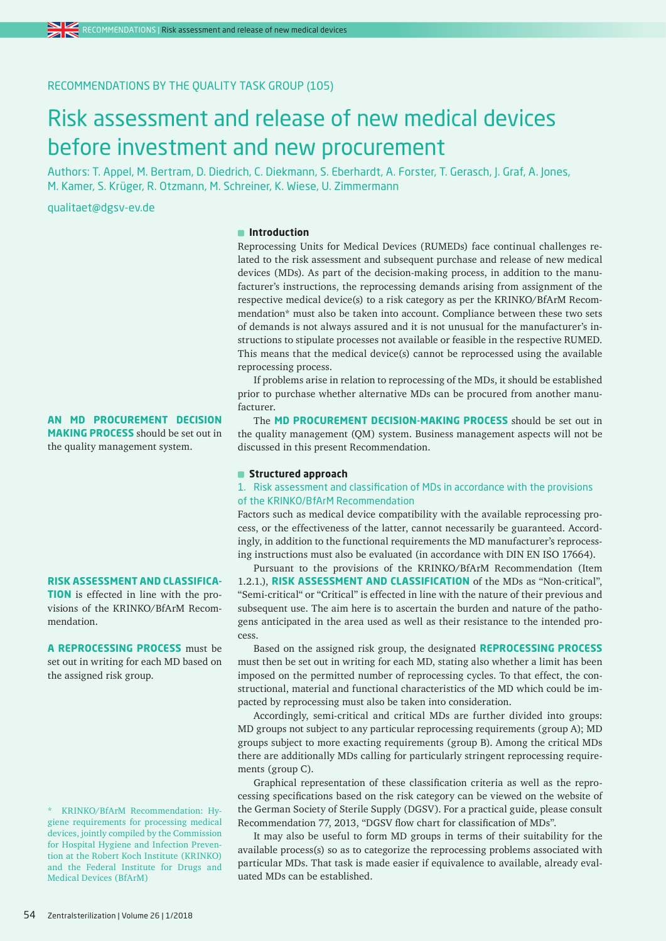# RECOMMENDATIONS BY THE QUALITY TASK GROUP (105)

# Risk assessment and release of new medical devices before investment and new procurement

Authors: T. Appel, M. Bertram, D. Diedrich, C. Diekmann, S. Eberhardt, A. Forster, T. Gerasch, J. Graf, A. Jones, M. Kamer, S. Krüger, R. Otzmann, M. Schreiner, K. Wiese, U. Zimmermann

qualitaet@dgsv-ev.de

#### **Introduction**

Reprocessing Units for Medical Devices (RUMEDs) face continual challenges related to the risk assessment and subsequent purchase and release of new medical devices (MDs). As part of the decision-making process, in addition to the manufacturer's instructions, the reprocessing demands arising from assignment of the respective medical device(s) to a risk category as per the KRINKO/BfArM Recommendation\* must also be taken into account. Compliance between these two sets of demands is not always assured and it is not unusual for the manufacturer's instructions to stipulate processes not available or feasible in the respective RUMED. This means that the medical device(s) cannot be reprocessed using the available reprocessing process.

If problems arise in relation to reprocessing of the MDs, it should be established prior to purchase whether alternative MDs can be procured from another manufacturer.

The **MD PROCUREMENT DECISION-MAKING PROCESS** should be set out in the quality management (QM) system. Business management aspects will not be discussed in this present Recommendation.

### **Structured approach**

## 1. Risk assessment and classification of MDs in accordance with the provisions of the KRINKO/BfArM Recommendation

Factors such as medical device compatibility with the available reprocessing process, or the effectiveness of the latter, cannot necessarily be guaranteed. Accordingly, in addition to the functional requirements the MD manufacturer's reprocessing instructions must also be evaluated (in accordance with DIN EN ISO 17664).

Pursuant to the provisions of the KRINKO/BfArM Recommendation (Item 1.2.1.), **RISK ASSESSMENT AND CLASSIFICATION** of the MDs as "Non-critical", "Semi-critical" or "Critical" is effected in line with the nature of their previous and subsequent use. The aim here is to ascertain the burden and nature of the pathogens anticipated in the area used as well as their resistance to the intended process.

Based on the assigned risk group, the designated **REPROCESSING PROCESS** must then be set out in writing for each MD, stating also whether a limit has been imposed on the permitted number of reprocessing cycles. To that effect, the constructional, material and functional characteristics of the MD which could be impacted by reprocessing must also be taken into consideration.

Accordingly, semi-critical and critical MDs are further divided into groups: MD groups not subject to any particular reprocessing requirements (group A); MD groups subject to more exacting requirements (group B). Among the critical MDs there are additionally MDs calling for particularly stringent reprocessing requirements (group C).

Graphical representation of these classification criteria as well as the reprocessing specifications based on the risk category can be viewed on the website of the German Society of Sterile Supply (DGSV). For a practical guide, please consult Recommendation 77, 2013, "DGSV flow chart for classification of MDs".

It may also be useful to form MD groups in terms of their suitability for the available process(s) so as to categorize the reprocessing problems associated with particular MDs. That task is made easier if equivalence to available, already evaluated MDs can be established.

**AN MD PROCUREMENT DECISION MAKING PROCESS** should be set out in the quality management system.

#### **RISK ASSESSMENT AND CLASSIFICA-**

**TION** is effected in line with the provisions of the KRINKO/BfArM Recommendation.

**A REPROCESSING PROCESS** must be set out in writing for each MD based on the assigned risk group.

\* KRINKO/BfArM Recommendation: Hygiene requirements for processing medical devices, jointly compiled by the Commission for Hospital Hygiene and Infection Prevention at the Robert Koch Institute (KRINKO) and the Federal Institute for Drugs and Medical Devices (BfArM)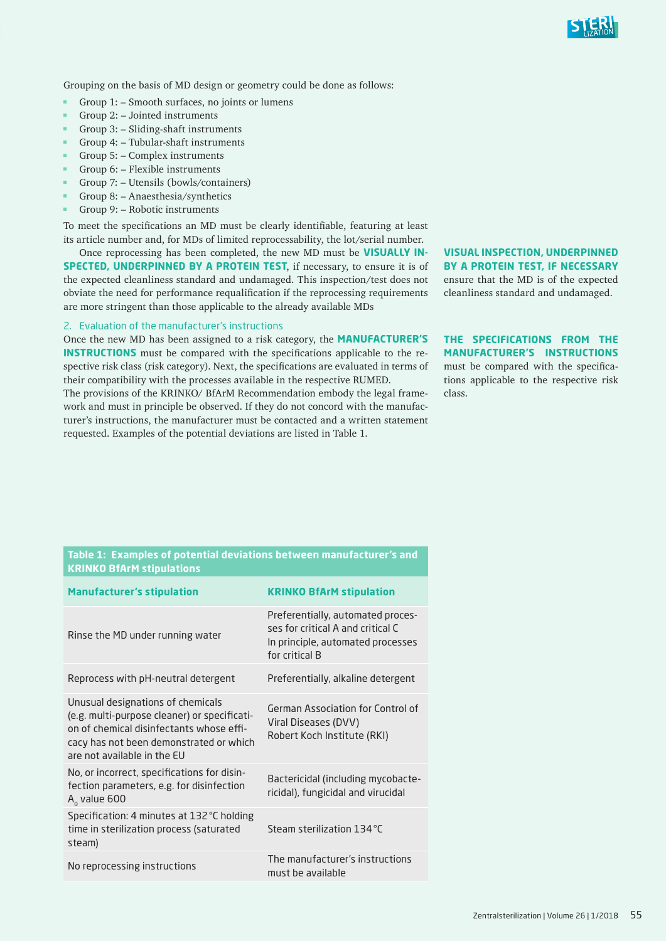

Grouping on the basis of MD design or geometry could be done as follows:

- m. Group 1: – Smooth surfaces, no joints or lumens
- Group 2: Jointed instruments
- Group 3: Sliding-shaft instruments
- Group 4: Tubular-shaft instruments
- Group 5: Complex instruments
- Group 6: Flexible instruments
- Group 7: Utensils (bowls/containers)
- Group 8: Anaesthesia/synthetics m.
- m. Group 9: – Robotic instruments

To meet the specifications an MD must be clearly identifiable, featuring at least its article number and, for MDs of limited reprocessability, the lot/serial number.

Once reprocessing has been completed, the new MD must be **VISUALLY IN-SPECTED, UNDERPINNED BY A PROTEIN TEST**, if necessary, to ensure it is of the expected cleanliness standard and undamaged. This inspection/test does not obviate the need for performance requalification if the reprocessing requirements are more stringent than those applicable to the already available MDs

#### 2. Evaluation of the manufacturer's instructions

Once the new MD has been assigned to a risk category, the **MANUFACTURER'S INSTRUCTIONS** must be compared with the specifications applicable to the respective risk class (risk category). Next, the specifications are evaluated in terms of their compatibility with the processes available in the respective RUMED.

The provisions of the KRINKO/ BfArM Recommendation embody the legal framework and must in principle be observed. If they do not concord with the manufacturer's instructions, the manufacturer must be contacted and a written statement requested. Examples of the potential deviations are listed in Table 1.

# **VISUAL INSPECTION, UNDERPINNED BY A PROTEIN TEST, IF NECESSARY**

ensure that the MD is of the expected cleanliness standard and undamaged.

# **THE SPECIFICATIONS FROM THE MANUFACTURER'S INSTRUCTIONS**

must be compared with the specifications applicable to the respective risk class.

#### **Table 1: Examples of potential deviations between manufacturer's and KRINKO BfArM stipulations**

| <b>Manufacturer's stipulation</b>                                                                                                                                                                       | <b>KRINKO BfArM stipulation</b>                                                                                               |
|---------------------------------------------------------------------------------------------------------------------------------------------------------------------------------------------------------|-------------------------------------------------------------------------------------------------------------------------------|
| Rinse the MD under running water                                                                                                                                                                        | Preferentially, automated proces-<br>ses for critical A and critical C<br>In principle, automated processes<br>for critical B |
| Reprocess with pH-neutral detergent                                                                                                                                                                     | Preferentially, alkaline detergent                                                                                            |
| Unusual designations of chemicals<br>(e.g. multi-purpose cleaner) or specificati-<br>on of chemical disinfectants whose effi-<br>cacy has not been demonstrated or which<br>are not available in the FU | German Association for Control of<br>Viral Diseases (DVV)<br>Robert Koch Institute (RKI)                                      |
| No, or incorrect, specifications for disin-<br>fection parameters, e.g. for disinfection<br>$A_0$ value 600                                                                                             | Bactericidal (including mycobacte-<br>ricidal), fungicidal and virucidal                                                      |
| Specification: 4 minutes at 132 °C holding<br>time in sterilization process (saturated<br>steam)                                                                                                        | Steam sterilization 134 °C                                                                                                    |
| No reprocessing instructions                                                                                                                                                                            | The manufacturer's instructions<br>must be available                                                                          |